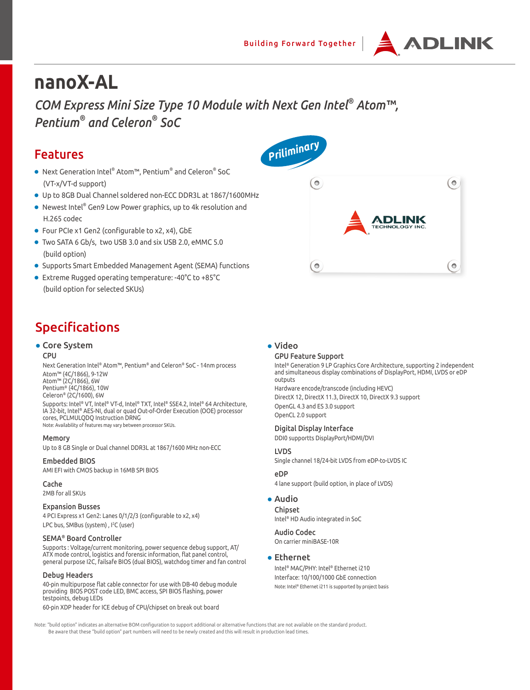

# **nanoX-AL**

*COM Express Mini Size Type 10 Module with Next Gen Intel® Atom™, Pentium® and Celeron® SoC*

## Features

- Next Generation Intel® Atom™, Pentium® and Celeron® SoC (VT-x/VT-d support)
- Up to 8GB Dual Channel soldered non-ECC DDR3L at 1867/1600MHz
- Newest Intel® Gen9 Low Power graphics, up to 4k resolution and H.265 codec
- Four PCIe x1 Gen2 (configurable to x2, x4), GbE
- Two SATA 6 Gb/s, two USB 3.0 and six USB 2.0, eMMC 5.0 (build option)
- Supports Smart Embedded Management Agent (SEMA) functions
- Extreme Rugged operating temperature: -40°C to +85°C (build option for selected SKUs)

## Specifications

## ● Core System

#### CPU

Next Generation Intel® Atom™, Pentium® and Celeron® SoC - 14nm process Atom™ (4C/1866), 9-12W Atom™ (2C/1866), 6W Pentium® (4C/1866), 10W Celeron® (2C/1600), 6W

Supports: Intel® VT, Intel® VT-d, Intel® TXT, Intel® SSE4.2, Intel® 64 Architecture, IA 32-bit, Intel® AES-NI, dual or quad Out-of-Order Execution (OOE) processor cores, PCLMULQDQ Instruction DRNG Note: Availability of features may vary between processor SKUs.

Memory

Up to 8 GB Single or Dual channel DDR3L at 1867/1600 MHz non-ECC

## Embedded BIOS

AMI EFI with CMOS backup in 16MB SPI BIOS

#### Cache

2MB for all SKUs

## Expansion Busses

4 PCI Express x1 Gen2: Lanes 0/1/2/3 (configurable to x2, x4) LPC bus, SMBus (system), I<sup>2</sup>C (user)

## SEMA® Board Controller

Supports : Voltage/current monitoring, power sequence debug support, AT/ ATX mode control, logistics and forensic information, flat panel control, general purpose I2C, failsafe BIOS (dual BIOS), watchdog timer and fan control

#### Debug Headers

40-pin multipurpose flat cable connector for use with DB-40 debug module providing BIOS POST code LED, BMC access, SPI BIOS flashing, power testpoints, debug LEDs

60-pin XDP header for ICE debug of CPU/chipset on break out board

## ● Video

### GPU Feature Support

Intel® Generation 9 LP Graphics Core Architecture, supporting 2 independent and simultaneous display combinations of DisplayPort, HDMI, LVDS or eDP outputs

Hardware encode/transcode (including HEVC) DirectX 12, DirectX 11.3, DirectX 10, DirectX 9.3 support OpenGL 4.3 and ES 3.0 support OpenCL 2.0 support

### Digital Display Interface

DDI0 supportts DisplayPort/HDMI/DVI

## LVDS

Single channel 18/24-bit LVDS from eDP-to-LVDS IC

## eDP

4 lane support (build option, in place of LVDS)

## ● Audio

Chipset Intel® HD Audio integrated in SoC

## Audio Codec

On carrier miniBASE-10R

## ● Ethernet

Intel® MAC/PHY: Intel® Ethernet i210 Interface: 10/100/1000 GbE connection Note: Intel® Ethernet i211 is supported by project basis

Note: "build option" indicates an alternative BOM configuration to support additional or alternative functions that are not available on the standard product. Be aware that these "build option" part numbers will need to be newly created and this will result in production lead times.

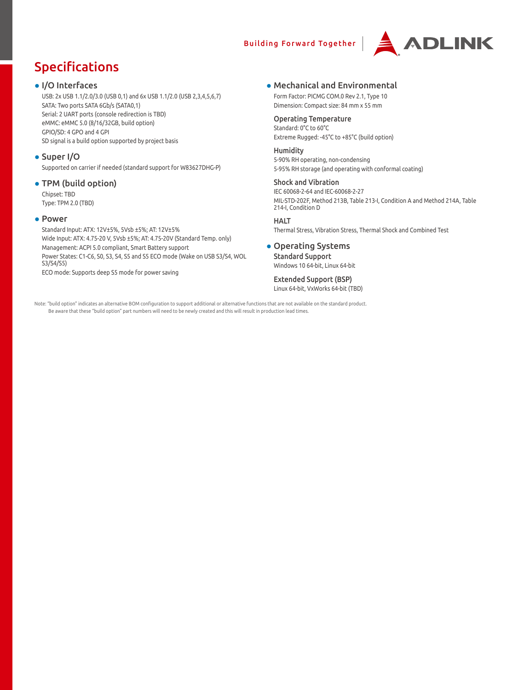## Building Forward Together



## Specifications

## ● I/O Interfaces

USB: 2x USB 1.1/2.0/3.0 (USB 0,1) and 6x USB 1.1/2.0 (USB 2,3,4,5,6,7) SATA: Two ports SATA 6Gb/s (SATA0,1) Serial: 2 UART ports (console redirection is TBD) eMMC: eMMC 5.0 (8/16/32GB, build option) GPIO/SD: 4 GPO and 4 GPI SD signal is a build option supported by project basis

## ● Super I/O

Supported on carrier if needed (standard support for W83627DHG-P)

## ● TPM (build option)

Chipset: TBD Type: TPM 2.0 (TBD)

## ● Power

Standard Input: ATX: 12V±5%, 5Vsb ±5%; AT: 12V±5% Wide Input: ATX: 4.75-20 V, 5Vsb ±5%; AT: 4.75-20V (Standard Temp. only) Management: ACPI 5.0 compliant, Smart Battery support Power States: C1-C6, S0, S3, S4, S5 and S5 ECO mode (Wake on USB S3/S4, WOL S3/S4/S5)

ECO mode: Supports deep S5 mode for power saving

## ● Mechanical and Environmental

Form Factor: PICMG COM.0 Rev 2.1, Type 10 Dimension: Compact size: 84 mm x 55 mm

## Operating Temperature

Standard: 0°C to 60°C Extreme Rugged: -45°C to +85°C (build option)

## Humidity

5-90% RH operating, non-condensing 5-95% RH storage (and operating with conformal coating)

## Shock and Vibration

IEC 60068-2-64 and IEC-60068-2-27 MIL-STD-202F, Method 213B, Table 213-I, Condition A and Method 214A, Table 214-I, Condition D

## **HAIT**

Thermal Stress, Vibration Stress, Thermal Shock and Combined Test

## ● Operating Systems

Standard Support Windows 10 64-bit, Linux 64-bit

## Extended Support (BSP) Linux 64-bit, VxWorks 64-bit (TBD)

Note: "build option" indicates an alternative BOM configuration to support additional or alternative functions that are not available on the standard product. Be aware that these "build option" part numbers will need to be newly created and this will result in production lead times.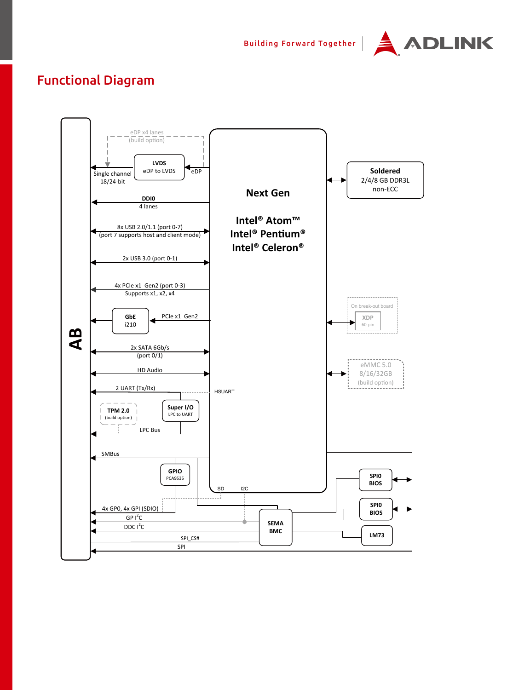

## Functional Diagram